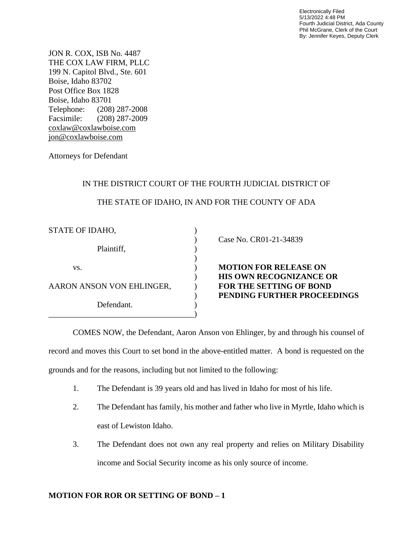Electronically Filed 5/13/2022 4:48 PM Fourth Judicial District, Ada County Phil McGrane, Clerk of the Court By: Jennifer Keyes, Deputy Clerk

JON R. COX, ISB No. 4487 THE COX LAW FIRM, PLLC 199 N. Capitol Blvd., Ste. 601 Boise, Idaho 83702 Post Office Box 1828 Boise, Idaho 83701 Telephone: (208) 287-2008 Facsimile: (208) 287-2009 [coxlaw@coxlawboise.com](mailto:coxlaw@coxlawboise.com) [jon@coxlawboise.com](mailto:jon@coxlawboise.com)

Attorneys for Defendant

## IN THE DISTRICT COURT OF THE FOURTH JUDICIAL DISTRICT OF

## THE STATE OF IDAHO, IN AND FOR THE COUNTY OF ADA

) Case No. CR01-21-34839

**MOTION FOR RELEASE ON** ) **HIS OWN RECOGNIZANCE OR** FOR THE SETTING OF BOND ) **PENDING FURTHER PROCEEDINGS**

COMES NOW, the Defendant, Aaron Anson von Ehlinger, by and through his counsel of record and moves this Court to set bond in the above-entitled matter. A bond is requested on the grounds and for the reasons, including but not limited to the following:

- 1. The Defendant is 39 years old and has lived in Idaho for most of his life.
- 2. The Defendant has family, his mother and father who live in Myrtle, Idaho which is east of Lewiston Idaho.
- 3. The Defendant does not own any real property and relies on Military Disability income and Social Security income as his only source of income.

## **MOTION FOR ROR OR SETTING OF BOND – 1**